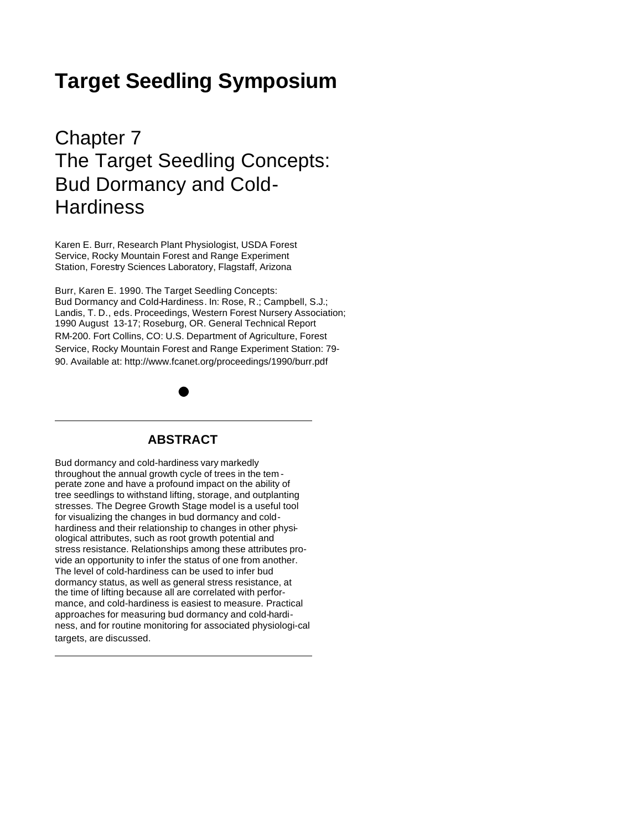# **Target Seedling Symposium**

# Chapter 7 The Target Seedling Concepts: Bud Dormancy and Cold-**Hardiness**

Karen E. Burr, Research Plant Physiologist, USDA Forest Service, Rocky Mountain Forest and Range Experiment Station, Forestry Sciences Laboratory, Flagstaff, Arizona

Burr, Karen E. 1990. The Target Seedling Concepts: Bud Dormancy and Cold-Hardiness. In: Rose, R.; Campbell, S.J.; Landis, T. D., eds. Proceedings, Western Forest Nursery Association; 1990 August 13-17; Roseburg, OR. General Technical Report RM-200. Fort Collins, CO: U.S. Department of Agriculture, Forest Service, Rocky Mountain Forest and Range Experiment Station: 79- 90. Available at: http://www.fcanet.org/proceedings/1990/burr.pdf

# **ABSTRACT**

Bud dormancy and cold-hardiness vary markedly throughout the annual growth cycle of trees in the tem perate zone and have a profound impact on the ability of tree seedlings to withstand lifting, storage, and outplanting stresses. The Degree Growth Stage model is a useful tool for visualizing the changes in bud dormancy and coldhardiness and their relationship to changes in other physiological attributes, such as root growth potential and stress resistance. Relationships among these attributes provide an opportunity to infer the status of one from another. The level of cold-hardiness can be used to infer bud dormancy status, as well as general stress resistance, at the time of lifting because all are correlated with performance, and cold-hardiness is easiest to measure. Practical approaches for measuring bud dormancy and cold-hardiness, and for routine monitoring for associated physiologi-cal targets, are discussed.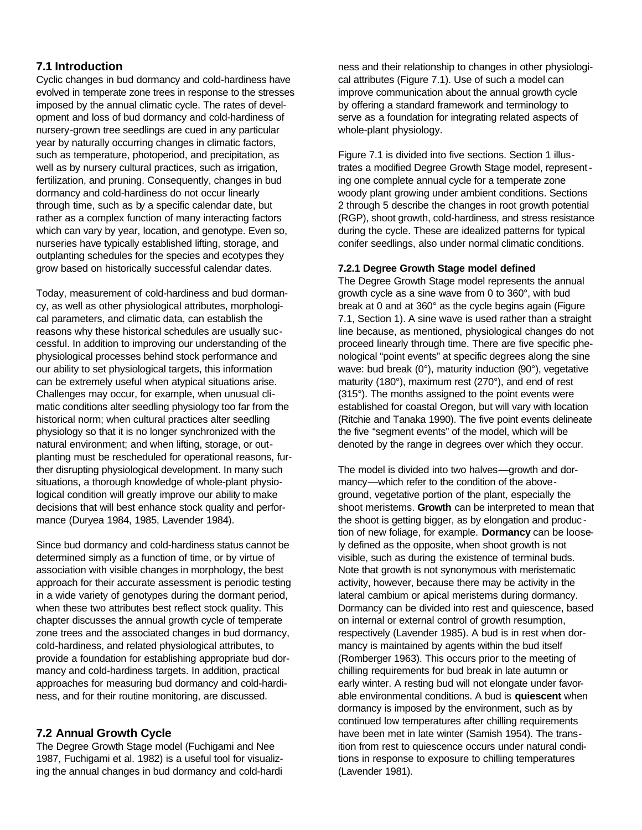# **7.1 Introduction**

Cyclic changes in bud dormancy and cold-hardiness have evolved in temperate zone trees in response to the stresses imposed by the annual climatic cycle. The rates of development and loss of bud dormancy and cold-hardiness of nursery-grown tree seedlings are cued in any particular year by naturally occurring changes in climatic factors, such as temperature, photoperiod, and precipitation, as well as by nursery cultural practices, such as irrigation, fertilization, and pruning. Consequently, changes in bud dormancy and cold-hardiness do not occur linearly through time, such as by a specific calendar date, but rather as a complex function of many interacting factors which can vary by year, location, and genotype. Even so, nurseries have typically established lifting, storage, and outplanting schedules for the species and ecotypes they grow based on historically successful calendar dates.

Today, measurement of cold-hardiness and bud dormancy, as well as other physiological attributes, morphological parameters, and climatic data, can establish the reasons why these historical schedules are usually successful. In addition to improving our understanding of the physiological processes behind stock performance and our ability to set physiological targets, this information can be extremely useful when atypical situations arise. Challenges may occur, for example, when unusual climatic conditions alter seedling physiology too far from the historical norm; when cultural practices alter seedling physiology so that it is no longer synchronized with the natural environment; and when lifting, storage, or outplanting must be rescheduled for operational reasons, further disrupting physiological development. In many such situations, a thorough knowledge of whole-plant physiological condition will greatly improve our ability to make decisions that will best enhance stock quality and performance (Duryea 1984, 1985, Lavender 1984).

Since bud dormancy and cold-hardiness status cannot be determined simply as a function of time, or by virtue of association with visible changes in morphology, the best approach for their accurate assessment is periodic testing in a wide variety of genotypes during the dormant period, when these two attributes best reflect stock quality. This chapter discusses the annual growth cycle of temperate zone trees and the associated changes in bud dormancy, cold-hardiness, and related physiological attributes, to provide a foundation for establishing appropriate bud dormancy and cold-hardiness targets. In addition, practical approaches for measuring bud dormancy and cold-hardiness, and for their routine monitoring, are discussed.

# **7.2 Annual Growth Cycle**

The Degree Growth Stage model (Fuchigami and Nee 1987, Fuchigami et al. 1982) is a useful tool for visualizing the annual changes in bud dormancy and cold-hardi

ness and their relationship to changes in other physiological attributes (Figure 7.1). Use of such a model can improve communication about the annual growth cycle by offering a standard framework and terminology to serve as a foundation for integrating related aspects of whole-plant physiology.

Figure 7.1 is divided into five sections. Section 1 illustrates a modified Degree Growth Stage model, representing one complete annual cycle for a temperate zone woody plant growing under ambient conditions. Sections 2 through 5 describe the changes in root growth potential (RGP), shoot growth, cold-hardiness, and stress resistance during the cycle. These are idealized patterns for typical conifer seedlings, also under normal climatic conditions.

#### **7.2.1 Degree Growth Stage model defined**

The Degree Growth Stage model represents the annual growth cycle as a sine wave from 0 to 360°, with bud break at 0 and at 360° as the cycle begins again (Figure 7.1, Section 1). A sine wave is used rather than a straight line because, as mentioned, physiological changes do not proceed linearly through time. There are five specific phenological "point events" at specific degrees along the sine wave: bud break (0°), maturity induction (90°), vegetative maturity (180°), maximum rest (270°), and end of rest (315°). The months assigned to the point events were established for coastal Oregon, but will vary with location (Ritchie and Tanaka 1990). The five point events delineate the five "segment events" of the model, which will be denoted by the range in degrees over which they occur.

The model is divided into two halves—growth and dormancy—which refer to the condition of the aboveground, vegetative portion of the plant, especially the shoot meristems. **Growth** can be interpreted to mean that the shoot is getting bigger, as by elongation and produc tion of new foliage, for example. **Dormancy** can be loosely defined as the opposite, when shoot growth is not visible, such as during the existence of terminal buds. Note that growth is not synonymous with meristematic activity, however, because there may be activity in the lateral cambium or apical meristems during dormancy. Dormancy can be divided into rest and quiescence, based on internal or external control of growth resumption, respectively (Lavender 1985). A bud is in rest when dormancy is maintained by agents within the bud itself (Romberger 1963). This occurs prior to the meeting of chilling requirements for bud break in late autumn or early winter. A resting bud will not elongate under favorable environmental conditions. A bud is **quiescent** when dormancy is imposed by the environment, such as by continued low temperatures after chilling requirements have been met in late winter (Samish 1954). The transition from rest to quiescence occurs under natural conditions in response to exposure to chilling temperatures (Lavender 1981).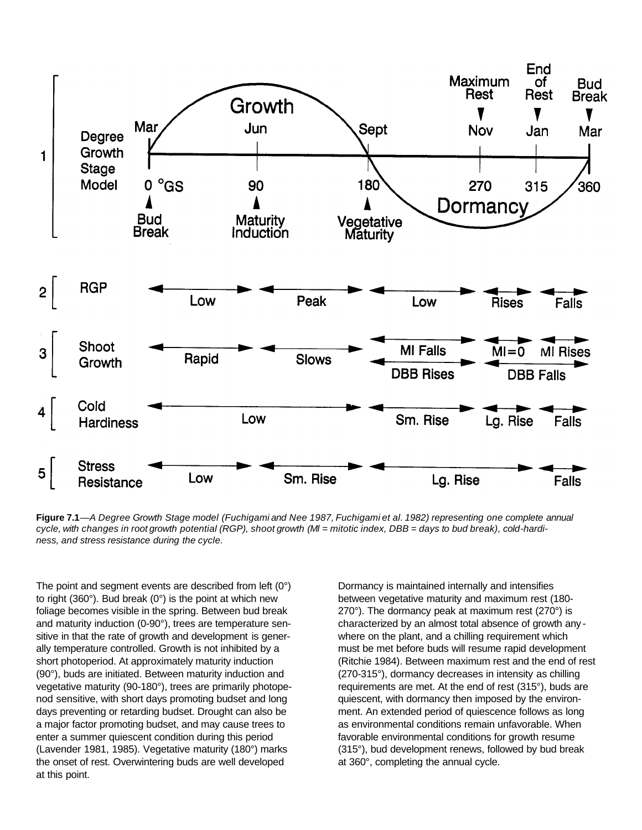

Figure 7.1—A Degree Growth Stage model (Fuchigami and Nee 1987, Fuchigami et al. 1982) representing one complete annual cycle, with changes in root growth potential (RGP), shoot growth (MI = mitotic index, DBB = days to bud break), cold-hardi*ness, and stress resistance during the cycle.*

The point and segment events are described from left (0°) to right (360°). Bud break (0°) is the point at which new foliage becomes visible in the spring. Between bud break and maturity induction (0-90°), trees are temperature sensitive in that the rate of growth and development is generally temperature controlled. Growth is not inhibited by a short photoperiod. At approximately maturity induction (90°), buds are initiated. Between maturity induction and vegetative maturity (90-180°), trees are primarily photopenod sensitive, with short days promoting budset and long days preventing or retarding budset. Drought can also be a major factor promoting budset, and may cause trees to enter a summer quiescent condition during this period (Lavender 1981, 1985). Vegetative maturity (180°) marks the onset of rest. Overwintering buds are well developed at this point.

Dormancy is maintained internally and intensifies between vegetative maturity and maximum rest (180- 270°). The dormancy peak at maximum rest (270°) is characterized by an almost total absence of growth any where on the plant, and a chilling requirement which must be met before buds will resume rapid development (Ritchie 1984). Between maximum rest and the end of rest (270-315°), dormancy decreases in intensity as chilling requirements are met. At the end of rest (315°), buds are quiescent, with dormancy then imposed by the environment. An extended period of quiescence follows as long as environmental conditions remain unfavorable. When favorable environmental conditions for growth resume (315°), bud development renews, followed by bud break at 360°, completing the annual cycle.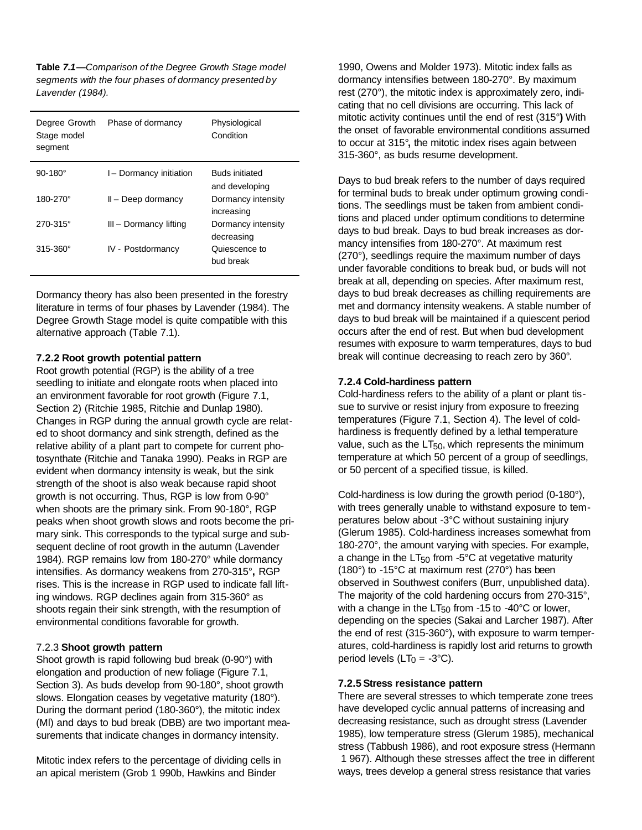**Table** *7.1—Comparison of the Degree Growth Stage model segments with the four phases of dormancy presented by Lavender (1984).*

| Degree Growth<br>Stage model<br>segment | Phase of dormancy      | Physiological<br>Condition              |
|-----------------------------------------|------------------------|-----------------------------------------|
| $90 - 180^\circ$                        | I-Dormancy initiation  | <b>Buds initiated</b><br>and developing |
| 180-270°                                | $II - Deep$ dormancy   | Dormancy intensity<br>increasing        |
| $270 - 315^{\circ}$                     | III - Dormancy lifting | Dormancy intensity<br>decreasing        |
| $315 - 360^{\circ}$                     | IV - Postdormancy      | Quiescence to<br>bud break              |

Dormancy theory has also been presented in the forestry literature in terms of four phases by Lavender (1984). The Degree Growth Stage model is quite compatible with this alternative approach (Table 7.1).

#### **7.2.2 Root growth potential pattern**

Root growth potential (RGP) is the ability of a tree seedling to initiate and elongate roots when placed into an environment favorable for root growth (Figure 7.1, Section 2) (Ritchie 1985, Ritchie and Dunlap 1980). Changes in RGP during the annual growth cycle are related to shoot dormancy and sink strength, defined as the relative ability of a plant part to compete for current photosynthate (Ritchie and Tanaka 1990). Peaks in RGP are evident when dormancy intensity is weak, but the sink strength of the shoot is also weak because rapid shoot growth is not occurring. Thus, RGP is low from 0-90° when shoots are the primary sink. From 90-180°, RGP peaks when shoot growth slows and roots become the primary sink. This corresponds to the typical surge and subsequent decline of root growth in the autumn (Lavender 1984). RGP remains low from 180-270° while dormancy intensifies. As dormancy weakens from 270-315°**,** RGP rises. This is the increase in RGP used to indicate fall lifting windows. RGP declines again from 315-360° as shoots regain their sink strength, with the resumption of environmental conditions favorable for growth.

#### 7.2.3 **Shoot growth pattern**

Shoot growth is rapid following bud break (0-90°) with elongation and production of new foliage (Figure 7.1, Section 3). As buds develop from 90-180°, shoot growth slows. Elongation ceases by vegetative maturity (180°). During the dormant period (180-360°), the mitotic index (Ml) and days to bud break (DBB) are two important measurements that indicate changes in dormancy intensity.

Mitotic index refers to the percentage of dividing cells in an apical meristem (Grob 1 990b, Hawkins and Binder

1990, Owens and Molder 1973). Mitotic index falls as dormancy intensifies between 180-270°. By maximum rest (270°), the mitotic index is approximately zero, indicating that no cell divisions are occurring. This lack of mitotic activity continues until the end of rest (315°**)** With the onset of favorable environmental conditions assumed to occur at 315°**,** the mitotic index rises again between 315-360°, as buds resume development.

Days to bud break refers to the number of days required for terminal buds to break under optimum growing conditions. The seedlings must be taken from ambient conditions and placed under optimum conditions to determine days to bud break. Days to bud break increases as dormancy intensifies from 180-270°. At maximum rest (270°), seedlings require the maximum number of days under favorable conditions to break bud, or buds will not break at all, depending on species. After maximum rest, days to bud break decreases as chilling requirements are met and dormancy intensity weakens. A stable number of days to bud break will be maintained if a quiescent period occurs after the end of rest. But when bud development resumes with exposure to warm temperatures, days to bud break will continue decreasing to reach zero by 360°.

#### **7.2.4 Cold-hardiness pattern**

Cold-hardiness refers to the ability of a plant or plant tissue to survive or resist injury from exposure to freezing temperatures (Figure 7.1, Section 4). The level of coldhardiness is frequently defined by a lethal temperature value, such as the  $LT_{50}$ , which represents the minimum temperature at which 50 percent of a group of seedlings, or 50 percent of a specified tissue, is killed.

Cold-hardiness is low during the growth period (0-180°), with trees generally unable to withstand exposure to temperatures below about -3°C without sustaining injury (Glerum 1985). Cold-hardiness increases somewhat from 180-270°, the amount varying with species. For example, a change in the  $LT_{50}$  from -5°C at vegetative maturity (180°) to -15°C at maximum rest (270°) has been observed in Southwest conifers (Burr, unpublished data). The majority of the cold hardening occurs from 270-315°, with a change in the  $LT_{50}$  from -15 to -40°C or lower, depending on the species (Sakai and Larcher 1987). After the end of rest (315-360°), with exposure to warm temperatures, cold-hardiness is rapidly lost arid returns to growth period levels ( $LT<sub>0</sub> = -3°C$ ).

#### **7.2.5 Stress resistance pattern**

There are several stresses to which temperate zone trees have developed cyclic annual patterns of increasing and decreasing resistance, such as drought stress (Lavender 1985), low temperature stress (Glerum 1985), mechanical stress (Tabbush 1986), and root exposure stress (Hermann 1 967). Although these stresses affect the tree in different ways, trees develop a general stress resistance that varies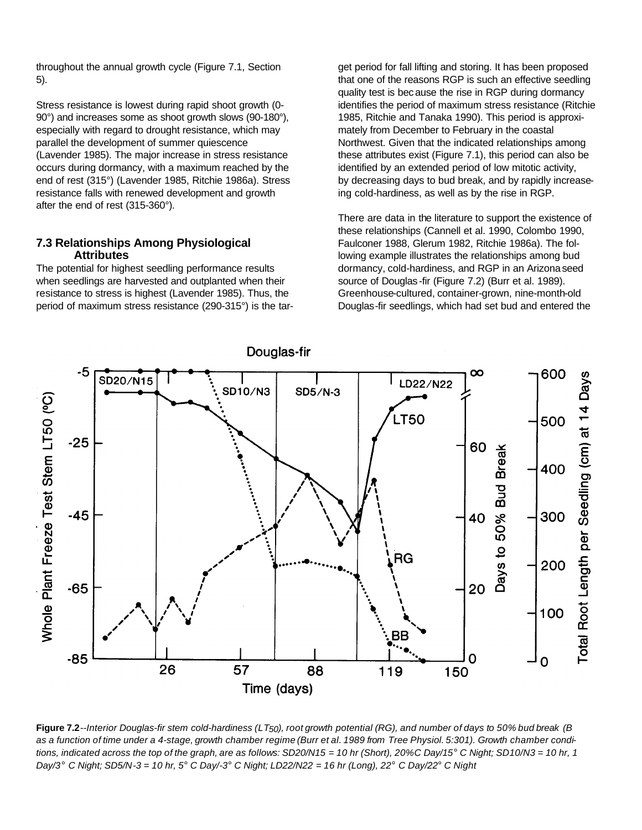throughout the annual growth cycle (Figure 7.1, Section 5).

Stress resistance is lowest during rapid shoot growth (0- 90°) and increases some as shoot growth slows (90-180°), especially with regard to drought resistance, which may parallel the development of summer quiescence (Lavender 1985). The major increase in stress resistance occurs during dormancy, with a maximum reached by the end of rest (315°) (Lavender 1985, Ritchie 1986a). Stress resistance falls with renewed development and growth after the end of rest (315-360°).

#### **7.3 Relationships Among Physiological Attributes**

The potential for highest seedling performance results when seedlings are harvested and outplanted when their resistance to stress is highest (Lavender 1985). Thus, the period of maximum stress resistance (290-315°) is the target period for fall lifting and storing. It has been proposed that one of the reasons RGP is such an effective seedling quality test is because the rise in RGP during dormancy identifies the period of maximum stress resistance (Ritchie 1985, Ritchie and Tanaka 1990). This period is approximately from December to February in the coastal Northwest. Given that the indicated relationships among these attributes exist (Figure 7.1), this period can also be identified by an extended period of low mitotic activity, by decreasing days to bud break, and by rapidly increaseing cold-hardiness, as well as by the rise in RGP.

There are data in the literature to support the existence of these relationships (Cannell et al. 1990, Colombo 1990, Faulconer 1988, Glerum 1982, Ritchie 1986a). The following example illustrates the relationships among bud dormancy, cold-hardiness, and RGP in an Arizona seed source of Douglas -fir (Figure 7.2) (Burr et al. 1989). Greenhouse-cultured, container-grown, nine-month-old Douglas-fir seedlings, which had set bud and entered the



Figure 7.2--Interior Douglas-fir stem cold-hardiness (LT<sub>50</sub>), root growth potential (RG), and number of days to 50% bud break (B as a function of time under a 4-stage, growth chamber regime (Burr et al. 1989 from Tree Physiol. 5:301). Growth chamber conditions, indicated across the top of the graph, are as follows: SD20/N15 = 10 hr (Short), 20%C Day/15° C Night; SD10/N3 = 10 hr, 1 Day/3° C Night; SD5/N-3 = 10 hr, 5° C Day/-3° C Night; LD22/N22 = 16 hr (Long), 22° C Day/22° C Night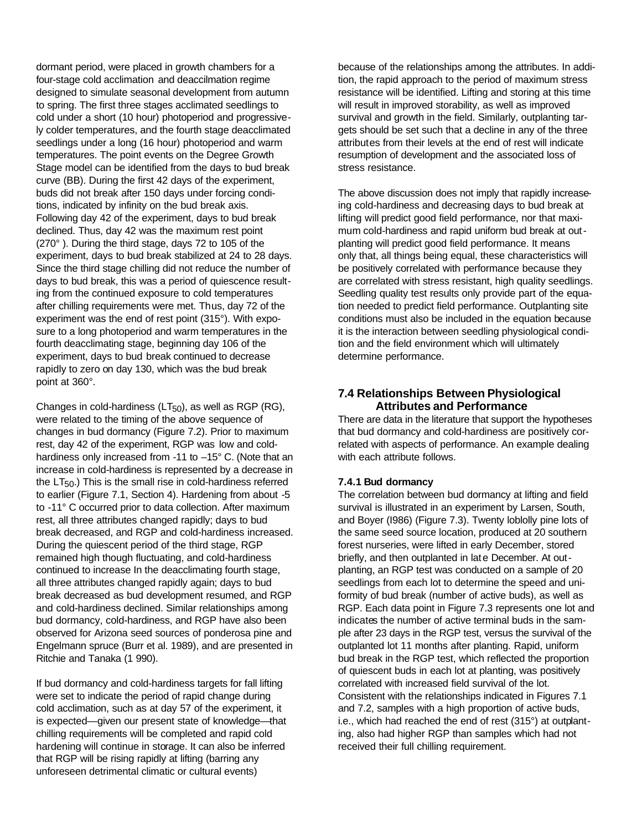dormant period, were placed in growth chambers for a four-stage cold acclimation and deaccilmation regime designed to simulate seasonal development from autumn to spring. The first three stages acclimated seedlings to cold under a short (10 hour) photoperiod and progressively colder temperatures, and the fourth stage deacclimated seedlings under a long (16 hour) photoperiod and warm temperatures. The point events on the Degree Growth Stage model can be identified from the days to bud break curve (BB). During the first 42 days of the experiment, buds did not break after 150 days under forcing conditions, indicated by infinity on the bud break axis. Following day 42 of the experiment, days to bud break declined. Thus, day 42 was the maximum rest point (270° ). During the third stage, days 72 to 105 of the experiment, days to bud break stabilized at 24 to 28 days. Since the third stage chilling did not reduce the number of days to bud break, this was a period of quiescence resulting from the continued exposure to cold temperatures after chilling requirements were met. Thus, day 72 of the experiment was the end of rest point (315°). With exposure to a long photoperiod and warm temperatures in the fourth deacclimating stage, beginning day 106 of the experiment, days to bud break continued to decrease rapidly to zero on day 130, which was the bud break point at 360°.

Changes in cold-hardiness ( $LT_{50}$ ), as well as RGP (RG), were related to the timing of the above sequence of changes in bud dormancy (Figure 7.2). Prior to maximum rest, day 42 of the experiment, RGP was low and coldhardiness only increased from -11 to -15° C. (Note that an increase in cold-hardiness is represented by a decrease in the  $LT_{50}$ .) This is the small rise in cold-hardiness referred to earlier (Figure 7.1, Section 4). Hardening from about -5 to -11° C occurred prior to data collection. After maximum rest, all three attributes changed rapidly; days to bud break decreased, and RGP and cold-hardiness increased. During the quiescent period of the third stage, RGP remained high though fluctuating, and cold-hardiness continued to increase In the deacclimating fourth stage, all three attributes changed rapidly again; days to bud break decreased as bud development resumed, and RGP and cold-hardiness declined. Similar relationships among bud dormancy, cold-hardiness, and RGP have also been observed for Arizona seed sources of ponderosa pine and Engelmann spruce (Burr et al. 1989), and are presented in Ritchie and Tanaka (1 990).

If bud dormancy and cold-hardiness targets for fall lifting were set to indicate the period of rapid change during cold acclimation, such as at day 57 of the experiment, it is expected—given our present state of knowledge—that chilling requirements will be completed and rapid cold hardening will continue in storage. It can also be inferred that RGP will be rising rapidly at lifting (barring any unforeseen detrimental climatic or cultural events)

because of the relationships among the attributes. In addition, the rapid approach to the period of maximum stress resistance will be identified. Lifting and storing at this time will result in improved storability, as well as improved survival and growth in the field. Similarly, outplanting targets should be set such that a decline in any of the three attributes from their levels at the end of rest will indicate resumption of development and the associated loss of stress resistance.

The above discussion does not imply that rapidly increaseing cold-hardiness and decreasing days to bud break at lifting will predict good field performance, nor that maximum cold-hardiness and rapid uniform bud break at outplanting will predict good field performance. It means only that, all things being equal, these characteristics will be positively correlated with performance because they are correlated with stress resistant, high quality seedlings. Seedling quality test results only provide part of the equation needed to predict field performance. Outplanting site conditions must also be included in the equation because it is the interaction between seedling physiological condition and the field environment which will ultimately determine performance.

### **7.4 Relationships Between Physiological Attributes and Performance**

There are data in the literature that support the hypotheses that bud dormancy and cold-hardiness are positively correlated with aspects of performance. An example dealing with each attribute follows.

### **7.4.1 Bud dormancy**

The correlation between bud dormancy at lifting and field survival is illustrated in an experiment by Larsen, South, and Boyer (I986) (Figure 7.3). Twenty loblolly pine lots of the same seed source location, produced at 20 southern forest nurseries, were lifted in early December, stored briefly, and then outplanted in late December. At outplanting, an RGP test was conducted on a sample of 20 seedlings from each lot to determine the speed and uniformity of bud break (number of active buds), as well as RGP. Each data point in Figure 7.3 represents one lot and indicates the number of active terminal buds in the sample after 23 days in the RGP test, versus the survival of the outplanted lot 11 months after planting. Rapid, uniform bud break in the RGP test, which reflected the proportion of quiescent buds in each lot at planting, was positively correlated with increased field survival of the lot. Consistent with the relationships indicated in Figures 7.1 and 7.2, samples with a high proportion of active buds, i.e., which had reached the end of rest (315°) at outplanting, also had higher RGP than samples which had not received their full chilling requirement.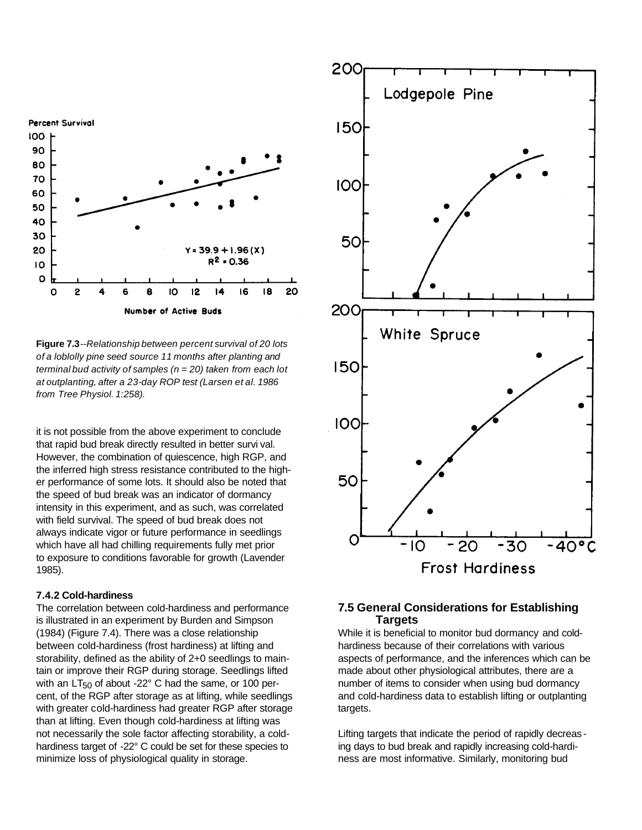

**Figure 7.3***--Relationship between percent survival of 20 lots of a loblolly pine seed source 11 months after planting and terminal bud activity of samples (n* = *20) taken from each lot at outplanting, after a 23-day ROP test (Larsen et al. 1986 from Tree Physiol. 1:258).*

it is not possible from the above experiment to conclude that rapid bud break directly resulted in better survi val. However, the combination of quiescence, high RGP, and the inferred high stress resistance contributed to the higher performance of some lots. It should also be noted that the speed of bud break was an indicator of dormancy intensity in this experiment, and as such, was correlated with field survival. The speed of bud break does not always indicate vigor or future performance in seedlings which have all had chilling requirements fully met prior to exposure to conditions favorable for growth (Lavender 1985).

#### **7.4.2 Cold-hardiness**

The correlation between cold-hardiness and performance is illustrated in an experiment by Burden and Simpson (1984) (Figure 7.4). There was a close relationship between cold-hardiness (frost hardiness) at lifting and storability, defined as the ability of 2+0 seedlings to maintain or improve their RGP during storage. Seedlings lifted with an  $LT_{50}$  of about -22 $^{\circ}$  C had the same, or 100 percent, of the RGP after storage as at lifting, while seedlings with greater cold-hardiness had greater RGP after storage than at lifting. Even though cold-hardiness at lifting was not necessarily the sole factor affecting storability, a coldhardiness target of -22° C could be set for these species to minimize loss of physiological quality in storage.



#### **7.5 General Considerations for Establishing Targets**

While it is beneficial to monitor bud dormancy and coldhardiness because of their correlations with various aspects of performance, and the inferences which can be made about other physiological attributes, there are a number of items to consider when using bud dormancy and cold-hardiness data to establish lifting or outplanting targets.

Lifting targets that indicate the period of rapidly decreas ing days to bud break and rapidly increasing cold-hardiness are most informative. Similarly, monitoring bud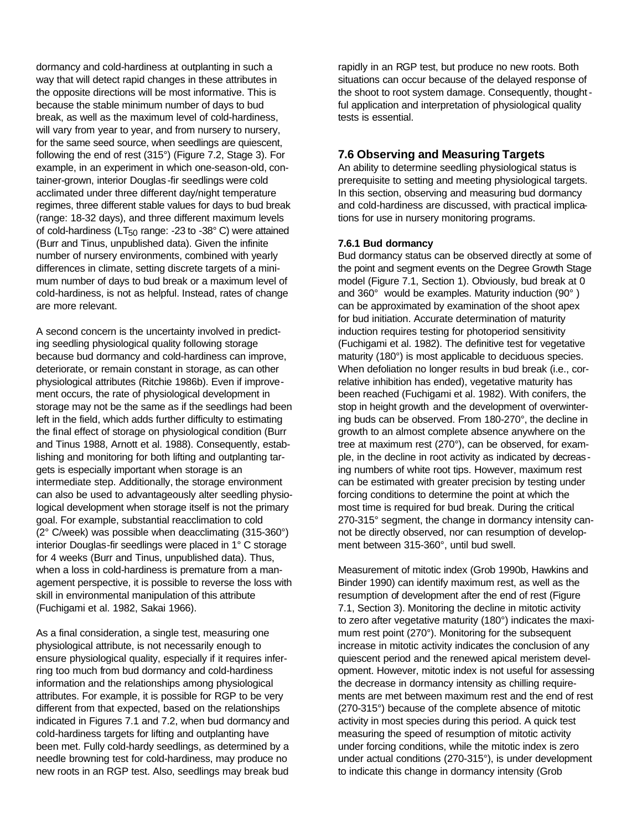dormancy and cold-hardiness at outplanting in such a way that will detect rapid changes in these attributes in the opposite directions will be most informative. This is because the stable minimum number of days to bud break, as well as the maximum level of cold-hardiness, will vary from year to year, and from nursery to nursery, for the same seed source, when seedlings are quiescent, following the end of rest (315°) (Figure 7.2, Stage 3). For example, in an experiment in which one-season-old, container-grown, interior Douglas -fir seedlings were cold acclimated under three different day/night temperature regimes, three different stable values for days to bud break (range: 18-32 days), and three different maximum levels of cold-hardiness ( $LT_{50}$  range: -23 to -38 $^{\circ}$  C) were attained (Burr and Tinus, unpublished data). Given the infinite number of nursery environments, combined with yearly differences in climate, setting discrete targets of a minimum number of days to bud break or a maximum level of cold-hardiness, is not as helpful. Instead, rates of change are more relevant.

A second concern is the uncertainty involved in predicting seedling physiological quality following storage because bud dormancy and cold-hardiness can improve, deteriorate, or remain constant in storage, as can other physiological attributes (Ritchie 1986b). Even if improvement occurs, the rate of physiological development in storage may not be the same as if the seedlings had been left in the field, which adds further difficulty to estimating the final effect of storage on physiological condition (Burr and Tinus 1988, Arnott et al. 1988). Consequently, establishing and monitoring for both lifting and outplanting targets is especially important when storage is an intermediate step. Additionally, the storage environment can also be used to advantageously alter seedling physiological development when storage itself is not the primary goal. For example, substantial reacclimation to cold (2° C/week) was possible when deacclimating (315-360°) interior Douglas-fir seedlings were placed in 1° C storage for 4 weeks (Burr and Tinus, unpublished data). Thus, when a loss in cold-hardiness is premature from a management perspective, it is possible to reverse the loss with skill in environmental manipulation of this attribute (Fuchigami et al. 1982, Sakai 1966).

As a final consideration, a single test, measuring one physiological attribute, is not necessarily enough to ensure physiological quality, especially if it requires inferring too much from bud dormancy and cold-hardiness information and the relationships among physiological attributes. For example, it is possible for RGP to be very different from that expected, based on the relationships indicated in Figures 7.1 and 7.2, when bud dormancy and cold-hardiness targets for lifting and outplanting have been met. Fully cold-hardy seedlings, as determined by a needle browning test for cold-hardiness, may produce no new roots in an RGP test. Also, seedlings may break bud

rapidly in an RGP test, but produce no new roots. Both situations can occur because of the delayed response of the shoot to root system damage. Consequently, thoughtful application and interpretation of physiological quality tests is essential.

## **7.6 Observing and Measuring Targets**

An ability to determine seedling physiological status is prerequisite to setting and meeting physiological targets. In this section, observing and measuring bud dormancy and cold-hardiness are discussed, with practical implications for use in nursery monitoring programs.

#### **7.6.1 Bud dormancy**

Bud dormancy status can be observed directly at some of the point and segment events on the Degree Growth Stage model (Figure 7.1, Section 1). Obviously, bud break at 0 and 360° would be examples. Maturity induction (90° ) can be approximated by examination of the shoot apex for bud initiation. Accurate determination of maturity induction requires testing for photoperiod sensitivity (Fuchigami et al. 1982). The definitive test for vegetative maturity (180°) is most applicable to deciduous species. When defoliation no longer results in bud break (i.e., correlative inhibition has ended), vegetative maturity has been reached (Fuchigami et al. 1982). With conifers, the stop in height growth and the development of overwintering buds can be observed. From 180-270°, the decline in growth to an almost complete absence anywhere on the tree at maximum rest (270°), can be observed, for example, in the decline in root activity as indicated by decreasing numbers of white root tips. However, maximum rest can be estimated with greater precision by testing under forcing conditions to determine the point at which the most time is required for bud break. During the critical 270-315° segment, the change in dormancy intensity cannot be directly observed, nor can resumption of development between 315-360°, until bud swell.

Measurement of mitotic index (Grob 1990b, Hawkins and Binder 1990) can identify maximum rest, as well as the resumption of development after the end of rest (Figure 7.1, Section 3). Monitoring the decline in mitotic activity to zero after vegetative maturity (180°) indicates the maximum rest point (270°). Monitoring for the subsequent increase in mitotic activity indicates the conclusion of any quiescent period and the renewed apical meristem development. However, mitotic index is not useful for assessing the decrease in dormancy intensity as chilling requirements are met between maximum rest and the end of rest (270-315°) because of the complete absence of mitotic activity in most species during this period. A quick test measuring the speed of resumption of mitotic activity under forcing conditions, while the mitotic index is zero under actual conditions (270-315°), is under development to indicate this change in dormancy intensity (Grob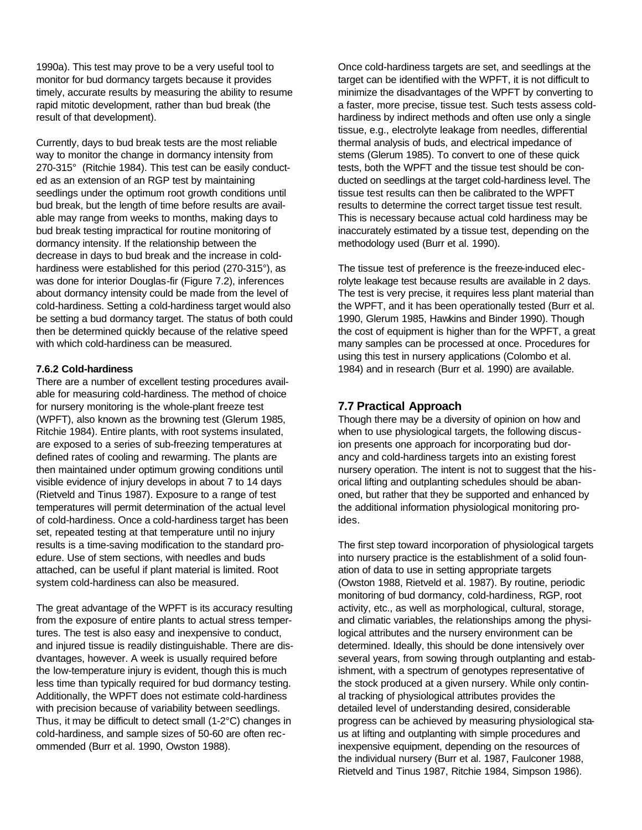1990a). This test may prove to be a very useful tool to monitor for bud dormancy targets because it provides timely, accurate results by measuring the ability to resume rapid mitotic development, rather than bud break (the result of that development).

Currently, days to bud break tests are the most reliable way to monitor the change in dormancy intensity from 270-315° (Ritchie 1984). This test can be easily conducted as an extension of an RGP test by maintaining seedlings under the optimum root growth conditions until bud break, but the length of time before results are available may range from weeks to months, making days to bud break testing impractical for routine monitoring of dormancy intensity. If the relationship between the decrease in days to bud break and the increase in coldhardiness were established for this period (270-315°), as was done for interior Douglas-fir (Figure 7.2), inferences about dormancy intensity could be made from the level of cold-hardiness. Setting a cold-hardiness target would also be setting a bud dormancy target. The status of both could then be determined quickly because of the relative speed with which cold-hardiness can be measured.

#### **7.6.2 Cold-hardiness**

There are a number of excellent testing procedures available for measuring cold-hardiness. The method of choice for nursery monitoring is the whole-plant freeze test (WPFT), also known as the browning test (Glerum 1985, Ritchie 1984). Entire plants, with root systems insulated, are exposed to a series of sub-freezing temperatures at defined rates of cooling and rewarming. The plants are then maintained under optimum growing conditions until visible evidence of injury develops in about 7 to 14 days (Rietveld and Tinus 1987). Exposure to a range of test temperatures will permit determination of the actual level of cold-hardiness. Once a cold-hardiness target has been set, repeated testing at that temperature until no injury results is a time-saving modification to the standard proedure. Use of stem sections, with needles and buds attached, can be useful if plant material is limited. Root system cold-hardiness can also be measured.

The great advantage of the WPFT is its accuracy resulting from the exposure of entire plants to actual stress tempertures. The test is also easy and inexpensive to conduct, and injured tissue is readily distinguishable. There are disdvantages, however. A week is usually required before the low-temperature injury is evident, though this is much less time than typically required for bud dormancy testing. Additionally, the WPFT does not estimate cold-hardiness with precision because of variability between seedlings. Thus, it may be difficult to detect small (1-2°C) changes in cold-hardiness, and sample sizes of 50-60 are often recommended (Burr et al. 1990, Owston 1988).

Once cold-hardiness targets are set, and seedlings at the target can be identified with the WPFT, it is not difficult to minimize the disadvantages of the WPFT by converting to a faster, more precise, tissue test. Such tests assess coldhardiness by indirect methods and often use only a single tissue, e.g., electrolyte leakage from needles, differential thermal analysis of buds, and electrical impedance of stems (Glerum 1985). To convert to one of these quick tests, both the WPFT and the tissue test should be conducted on seedlings at the target cold-hardiness level. The tissue test results can then be calibrated to the WPFT results to determine the correct target tissue test result. This is necessary because actual cold hardiness may be inaccurately estimated by a tissue test, depending on the methodology used (Burr et al. 1990).

The tissue test of preference is the freeze-induced elecrolyte leakage test because results are available in 2 days. The test is very precise, it requires less plant material than the WPFT, and it has been operationally tested (Burr et al. 1990, Glerum 1985, Hawkins and Binder 1990). Though the cost of equipment is higher than for the WPFT, a great many samples can be processed at once. Procedures for using this test in nursery applications (Colombo et al. 1984) and in research (Burr et al. 1990) are available.

#### **7.7 Practical Approach**

Though there may be a diversity of opinion on how and when to use physiological targets, the following discusion presents one approach for incorporating bud dorancy and cold-hardiness targets into an existing forest nursery operation. The intent is not to suggest that the hisorical lifting and outplanting schedules should be abanoned, but rather that they be supported and enhanced by the additional information physiological monitoring proides.

The first step toward incorporation of physiological targets into nursery practice is the establishment of a solid founation of data to use in setting appropriate targets (Owston 1988, Rietveld et al. 1987). By routine, periodic monitoring of bud dormancy, cold-hardiness, RGP, root activity, etc., as well as morphological, cultural, storage, and climatic variables, the relationships among the physilogical attributes and the nursery environment can be determined. Ideally, this should be done intensively over several years, from sowing through outplanting and estabishment, with a spectrum of genotypes representative of the stock produced at a given nursery. While only continal tracking of physiological attributes provides the detailed level of understanding desired, considerable progress can be achieved by measuring physiological staus at lifting and outplanting with simple procedures and inexpensive equipment, depending on the resources of the individual nursery (Burr et al. 1987, Faulconer 1988, Rietveld and Tinus 1987, Ritchie 1984, Simpson 1986).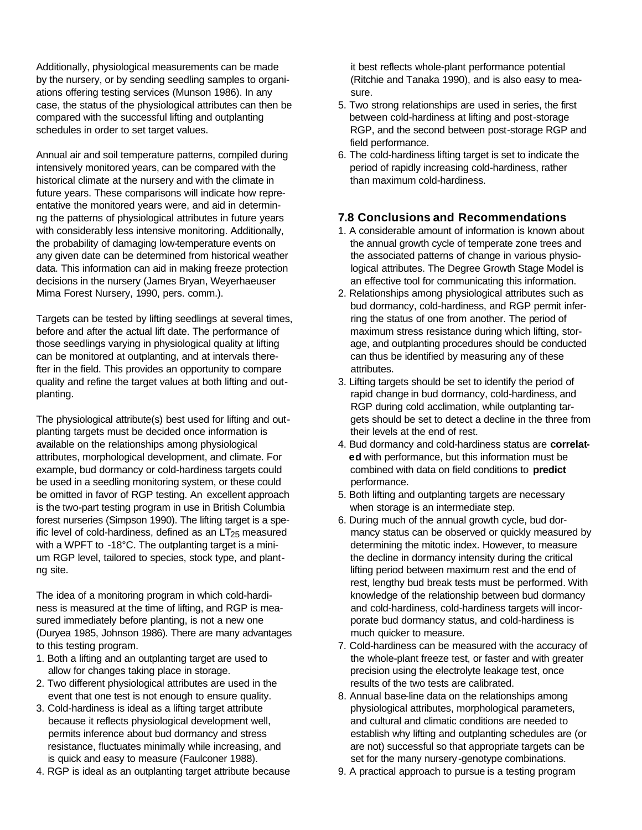Additionally, physiological measurements can be made by the nursery, or by sending seedling samples to organiations offering testing services (Munson 1986). In any case, the status of the physiological attributes can then be compared with the successful lifting and outplanting schedules in order to set target values.

Annual air and soil temperature patterns, compiled during intensively monitored years, can be compared with the historical climate at the nursery and with the climate in future years. These comparisons will indicate how repreentative the monitored years were, and aid in determinng the patterns of physiological attributes in future years with considerably less intensive monitoring. Additionally, the probability of damaging low-temperature events on any given date can be determined from historical weather data. This information can aid in making freeze protection decisions in the nursery (James Bryan, Weyerhaeuser Mima Forest Nursery, 1990, pers. comm.).

Targets can be tested by lifting seedlings at several times, before and after the actual lift date. The performance of those seedlings varying in physiological quality at lifting can be monitored at outplanting, and at intervals therefter in the field. This provides an opportunity to compare quality and refine the target values at both lifting and outplanting.

The physiological attribute(s) best used for lifting and outplanting targets must be decided once information is available on the relationships among physiological attributes, morphological development, and climate. For example, bud dormancy or cold-hardiness targets could be used in a seedling monitoring system, or these could be omitted in favor of RGP testing. An excellent approach is the two-part testing program in use in British Columbia forest nurseries (Simpson 1990). The lifting target is a speific level of cold-hardiness, defined as an  $LT_{25}$  measured with a WPFT to -18°C. The outplanting target is a minium RGP level, tailored to species, stock type, and plantng site.

The idea of a monitoring program in which cold-hardiness is measured at the time of lifting, and RGP is measured immediately before planting, is not a new one (Duryea 1985, Johnson 1986). There are many advantages to this testing program.

- 1. Both a lifting and an outplanting target are used to allow for changes taking place in storage.
- 2. Two different physiological attributes are used in the event that one test is not enough to ensure quality.
- 3. Cold-hardiness is ideal as a lifting target attribute because it reflects physiological development well, permits inference about bud dormancy and stress resistance, fluctuates minimally while increasing, and is quick and easy to measure (Faulconer 1988).
- 4. RGP is ideal as an outplanting target attribute because

 it best reflects whole-plant performance potential (Ritchie and Tanaka 1990), and is also easy to mea sure.

- 5. Two strong relationships are used in series, the first between cold-hardiness at lifting and post-storage RGP, and the second between post-storage RGP and field performance.
- 6. The cold-hardiness lifting target is set to indicate the period of rapidly increasing cold-hardiness, rather than maximum cold-hardiness.

# **7.8 Conclusions and Recommendations**

- 1. A considerable amount of information is known about the annual growth cycle of temperate zone trees and the associated patterns of change in various physio logical attributes. The Degree Growth Stage Model is an effective tool for communicating this information.
- 2. Relationships among physiological attributes such as bud dormancy, cold-hardiness, and RGP permit infer ring the status of one from another. The period of maximum stress resistance during which lifting, stor age, and outplanting procedures should be conducted can thus be identified by measuring any of these attributes.
- 3. Lifting targets should be set to identify the period of rapid change in bud dormancy, cold-hardiness, and RGP during cold acclimation, while outplanting tar gets should be set to detect a decline in the three from their levels at the end of rest.
- 4. Bud dormancy and cold-hardiness status are **correlat ed** with performance, but this information must be combined with data on field conditions to **predict**  performance.
- 5. Both lifting and outplanting targets are necessary when storage is an intermediate step.
- 6. During much of the annual growth cycle, bud dormancy status can be observed or quickly measured by determining the mitotic index. However, to measure the decline in dormancy intensity during the critical lifting period between maximum rest and the end of rest, lengthy bud break tests must be performed. With knowledge of the relationship between bud dormancy and cold-hardiness, cold-hardiness targets will incor porate bud dormancy status, and cold-hardiness is much quicker to measure.
- 7. Cold-hardiness can be measured with the accuracy of the whole-plant freeze test, or faster and with greater precision using the electrolyte leakage test, once results of the two tests are calibrated.
- 8. Annual base-line data on the relationships among physiological attributes, morphological parameters, and cultural and climatic conditions are needed to establish why lifting and outplanting schedules are (or are not) successful so that appropriate targets can be set for the many nursery -genotype combinations.
- 9. A practical approach to pursue is a testing program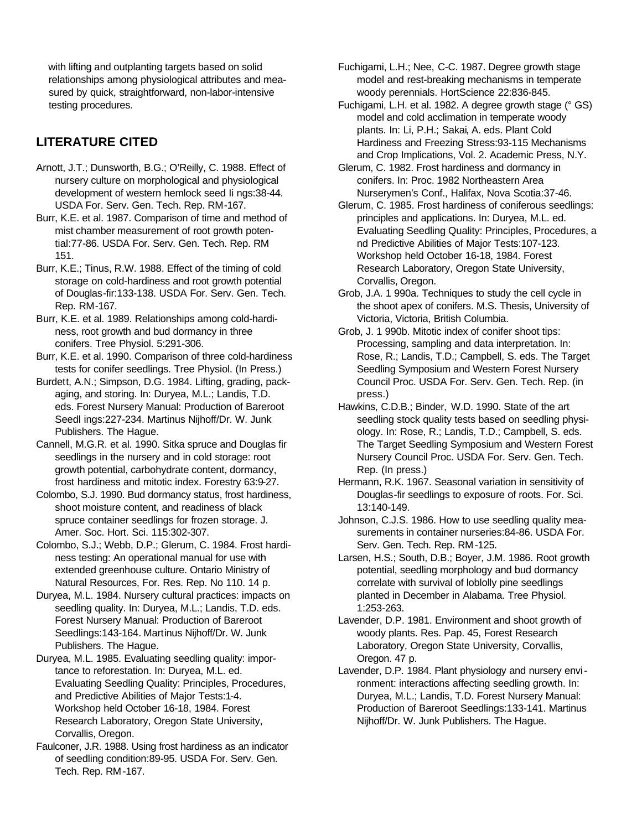with lifting and outplanting targets based on solid relationships among physiological attributes and mea sured by quick, straightforward, non-labor-intensive testing procedures.

# **LITERATURE CITED**

- Arnott, J.T.; Dunsworth, B.G.; O'Reilly, C. 1988. Effect of nursery culture on morphological and physiological development of western hemlock seed Ii ngs:38-44. USDA For. Serv. Gen. Tech. Rep. RM-167.
- Burr, K.E. et al. 1987. Comparison of time and method of mist chamber measurement of root growth potential:77-86. USDA For. Serv. Gen. Tech. Rep. RM 151.
- Burr, K.E.; Tinus, R.W. 1988. Effect of the timing of cold storage on cold-hardiness and root growth potential of Douglas-fir:133-138. USDA For. Serv. Gen. Tech. Rep. RM-167.
- Burr, K.E. et al. 1989. Relationships among cold-hardiness, root growth and bud dormancy in three conifers. Tree Physiol. 5:291-306.
- Burr, K.E. et al. 1990. Comparison of three cold-hardiness tests for conifer seedlings. Tree Physiol. (In Press.)
- Burdett, A.N.; Simpson, D.G. 1984. Lifting, grading, packaging, and storing. In: Duryea, M.L.; Landis, T.D. eds. Forest Nursery Manual: Production of Bareroot Seedl ings:227-234. Martinus Nijhoff/Dr. W. Junk Publishers. The Hague.
- Cannell, M.G.R. et al. 1990. Sitka spruce and Douglas fir seedlings in the nursery and in cold storage: root growth potential, carbohydrate content, dormancy, frost hardiness and mitotic index. Forestry 63:9-27.
- Colombo, S.J. 1990. Bud dormancy status, frost hardiness, shoot moisture content, and readiness of black spruce container seedlings for frozen storage. J. Amer. Soc. Hort. Sci. 115:302-307.
- Colombo, S.J.; Webb, D.P.; Glerum, C. 1984. Frost hardiness testing: An operational manual for use with extended greenhouse culture. Ontario Ministry of Natural Resources, For. Res. Rep. No 110. 14 p.
- Duryea, M.L. 1984. Nursery cultural practices: impacts on seedling quality. In: Duryea, M.L.; Landis, T.D. eds. Forest Nursery Manual: Production of Bareroot Seedlings:143-164. Martinus Nijhoff/Dr. W. Junk Publishers. The Hague.
- Duryea, M.L. 1985. Evaluating seedling quality: importance to reforestation. In: Duryea, M.L. ed. Evaluating Seedling Quality: Principles, Procedures, and Predictive Abilities of Major Tests:1-4. Workshop held October 16-18, 1984. Forest Research Laboratory, Oregon State University, Corvallis, Oregon.
- Faulconer, J.R. 1988. Using frost hardiness as an indicator of seedling condition:89-95. USDA For. Serv. Gen. Tech. Rep. RM-167.
- Fuchigami, L.H.; Nee, C-C. 1987. Degree growth stage model and rest-breaking mechanisms in temperate woody perennials. HortScience 22:836-845.
- Fuchigami, L.H. et al. 1982. A degree growth stage (° GS) model and cold acclimation in temperate woody plants. In: Li, P.H.; Sakai, A. eds. Plant Cold Hardiness and Freezing Stress:93-115 Mechanisms and Crop Implications, Vol. 2. Academic Press, N.Y.
- Glerum, C. 1982. Frost hardiness and dormancy in conifers. In: Proc. 1982 Northeastern Area Nurserymen's Conf., Halifax, Nova Scotia:37-46.
- Glerum, C. 1985. Frost hardiness of coniferous seedlings: principles and applications. In: Duryea, M.L. ed. Evaluating Seedling Quality: Principles, Procedures, a nd Predictive Abilities of Major Tests:107-123. Workshop held October 16-18, 1984. Forest Research Laboratory, Oregon State University, Corvallis, Oregon.
- Grob, J.A. 1 990a. Techniques to study the cell cycle in the shoot apex of conifers. M.S. Thesis, University of Victoria, Victoria, British Columbia.
- Grob, J. 1 990b. Mitotic index of conifer shoot tips: Processing, sampling and data interpretation. In: Rose, R.; Landis, T.D.; Campbell, S. eds. The Target Seedling Symposium and Western Forest Nursery Council Proc. USDA For. Serv. Gen. Tech. Rep. (in press.)
- Hawkins, C.D.B.; Binder, W.D. 1990. State of the art seedling stock quality tests based on seedling physiology. In: Rose, R.; Landis, T.D.; Campbell, S. eds. The Target Seedling Symposium and Western Forest Nursery Council Proc. USDA For. Serv. Gen. Tech. Rep. (In press.)
- Hermann, R.K. 1967. Seasonal variation in sensitivity of Douglas-fir seedlings to exposure of roots. For. Sci. 13:140-149.
- Johnson, C.J.S. 1986. How to use seedling quality measurements in container nurseries:84-86. USDA For. Serv. Gen. Tech. Rep. RM-125.
- Larsen, H.S.; South, D.B.; Boyer, J.M. 1986. Root growth potential, seedling morphology and bud dormancy correlate with survival of loblolly pine seedlings planted in December in Alabama. Tree Physiol. 1:253-263.
- Lavender, D.P. 1981. Environment and shoot growth of woody plants. Res. Pap. 45, Forest Research Laboratory, Oregon State University, Corvallis, Oregon. 47 p.
- Lavender, D.P. 1984. Plant physiology and nursery environment: interactions affecting seedling growth. In: Duryea, M.L.; Landis, T.D. Forest Nursery Manual: Production of Bareroot Seedlings:133-141. Martinus Nijhoff/Dr. W. Junk Publishers. The Hague.